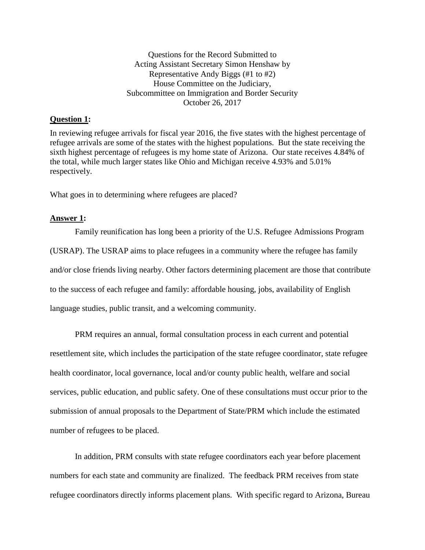Questions for the Record Submitted to Acting Assistant Secretary Simon Henshaw by Representative Andy Biggs (#1 to #2) House Committee on the Judiciary, Subcommittee on Immigration and Border Security October 26, 2017

#### **Question 1:**

In reviewing refugee arrivals for fiscal year 2016, the five states with the highest percentage of refugee arrivals are some of the states with the highest populations. But the state receiving the sixth highest percentage of refugees is my home state of Arizona. Our state receives 4.84% of the total, while much larger states like Ohio and Michigan receive 4.93% and 5.01% respectively.

What goes in to determining where refugees are placed?

#### **Answer 1:**

Family reunification has long been a priority of the U.S. Refugee Admissions Program (USRAP). The USRAP aims to place refugees in a community where the refugee has family and/or close friends living nearby. Other factors determining placement are those that contribute to the success of each refugee and family: affordable housing, jobs, availability of English language studies, public transit, and a welcoming community.

PRM requires an annual, formal consultation process in each current and potential resettlement site, which includes the participation of the state refugee coordinator, state refugee health coordinator, local governance, local and/or county public health, welfare and social services, public education, and public safety. One of these consultations must occur prior to the submission of annual proposals to the Department of State/PRM which include the estimated number of refugees to be placed.

In addition, PRM consults with state refugee coordinators each year before placement numbers for each state and community are finalized. The feedback PRM receives from state refugee coordinators directly informs placement plans. With specific regard to Arizona, Bureau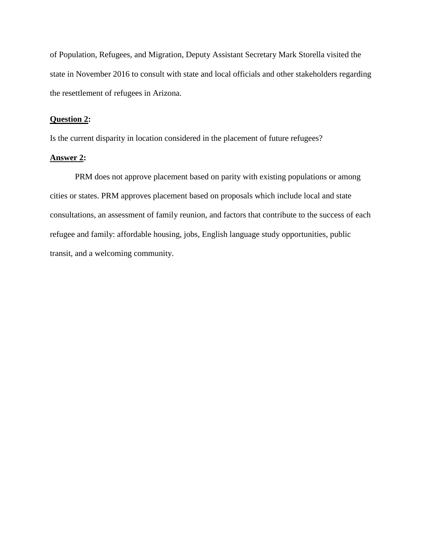of Population, Refugees, and Migration, Deputy Assistant Secretary Mark Storella visited the state in November 2016 to consult with state and local officials and other stakeholders regarding the resettlement of refugees in Arizona.

### **Question 2:**

Is the current disparity in location considered in the placement of future refugees?

## **Answer 2:**

PRM does not approve placement based on parity with existing populations or among cities or states. PRM approves placement based on proposals which include local and state consultations, an assessment of family reunion, and factors that contribute to the success of each refugee and family: affordable housing, jobs, English language study opportunities, public transit, and a welcoming community.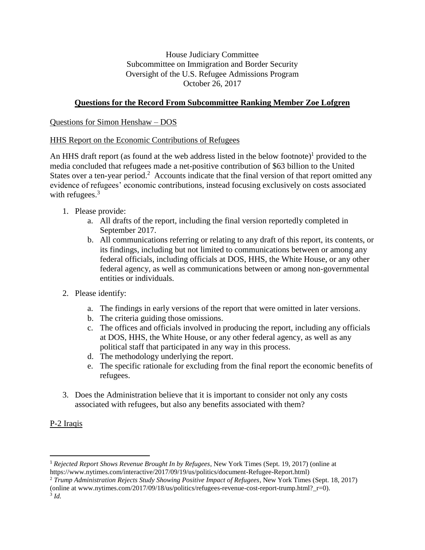House Judiciary Committee Subcommittee on Immigration and Border Security Oversight of the U.S. Refugee Admissions Program October 26, 2017

## **Questions for the Record From Subcommittee Ranking Member Zoe Lofgren**

## Questions for Simon Henshaw – DOS

## HHS Report on the Economic Contributions of Refugees

An HHS draft report (as found at the web address listed in the below footnote) $<sup>1</sup>$  provided to the</sup> media concluded that refugees made a net-positive contribution of \$63 billion to the United States over a ten-year period.<sup>2</sup> Accounts indicate that the final version of that report omitted any evidence of refugees' economic contributions, instead focusing exclusively on costs associated with refugees. $3$ 

- 1. Please provide:
	- a. All drafts of the report, including the final version reportedly completed in September 2017.
	- b. All communications referring or relating to any draft of this report, its contents, or its findings, including but not limited to communications between or among any federal officials, including officials at DOS, HHS, the White House, or any other federal agency, as well as communications between or among non-governmental entities or individuals.
- 2. Please identify:
	- a. The findings in early versions of the report that were omitted in later versions.
	- b. The criteria guiding those omissions.
	- c. The offices and officials involved in producing the report, including any officials at DOS, HHS, the White House, or any other federal agency, as well as any political staff that participated in any way in this process.
	- d. The methodology underlying the report.
	- e. The specific rationale for excluding from the final report the economic benefits of refugees.
- 3. Does the Administration believe that it is important to consider not only any costs associated with refugees, but also any benefits associated with them?

# P-2 Iraqis

 $\overline{a}$ 

<sup>1</sup> *Rejected Report Shows Revenue Brought In by Refugees*, New York Times (Sept. 19, 2017) (online at https://www.nytimes.com/interactive/2017/09/19/us/politics/document-Refugee-Report.html)

<sup>2</sup> *Trump Administration Rejects Study Showing Positive Impact of Refugees*, New York Times (Sept. 18, 2017)

<sup>(</sup>online at www.nytimes.com/2017/09/18/us/politics/refugees-revenue-cost-report-trump.html?\_r=0).

<sup>3</sup> *Id.*